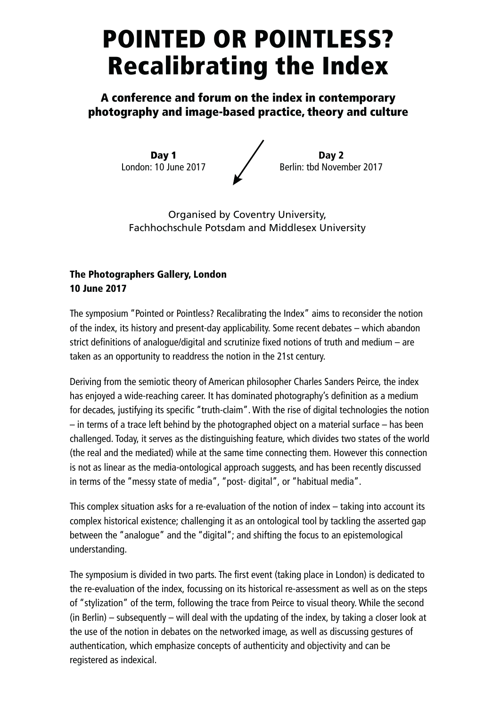## POINTED OR POINTLESS? Recalibrating the Index

A conference and forum on the index in contemporary photography and image-based practice, theory and culture

> Day 1 London: 10 June 2017

Day 2 Berlin: tbd November 2017

Organised by Coventry University, Fachhochschule Potsdam and Middlesex University

## The Photographers Gallery, London 10 June 2017

The symposium "Pointed or Pointless? Recalibrating the Index" aims to reconsider the notion of the index, its history and present-day applicability. Some recent debates – which abandon strict definitions of analogue/digital and scrutinize fixed notions of truth and medium – are taken as an opportunity to readdress the notion in the 21st century.

Deriving from the semiotic theory of American philosopher Charles Sanders Peirce, the index has enjoyed a wide-reaching career. It has dominated photography's definition as a medium for decades, justifying its specific "truth-claim". With the rise of digital technologies the notion – in terms of a trace left behind by the photographed object on a material surface – has been challenged. Today, it serves as the distinguishing feature, which divides two states of the world (the real and the mediated) while at the same time connecting them. However this connection is not as linear as the media-ontological approach suggests, and has been recently discussed in terms of the "messy state of media", "post- digital", or "habitual media".

This complex situation asks for a re-evaluation of the notion of index – taking into account its complex historical existence; challenging it as an ontological tool by tackling the asserted gap between the "analogue" and the "digital"; and shifting the focus to an epistemological understanding.

The symposium is divided in two parts. The first event (taking place in London) is dedicated to the re-evaluation of the index, focussing on its historical re-assessment as well as on the steps of "stylization" of the term, following the trace from Peirce to visual theory. While the second (in Berlin) – subsequently – will deal with the updating of the index, by taking a closer look at the use of the notion in debates on the networked image, as well as discussing gestures of authentication, which emphasize concepts of authenticity and objectivity and can be registered as indexical.